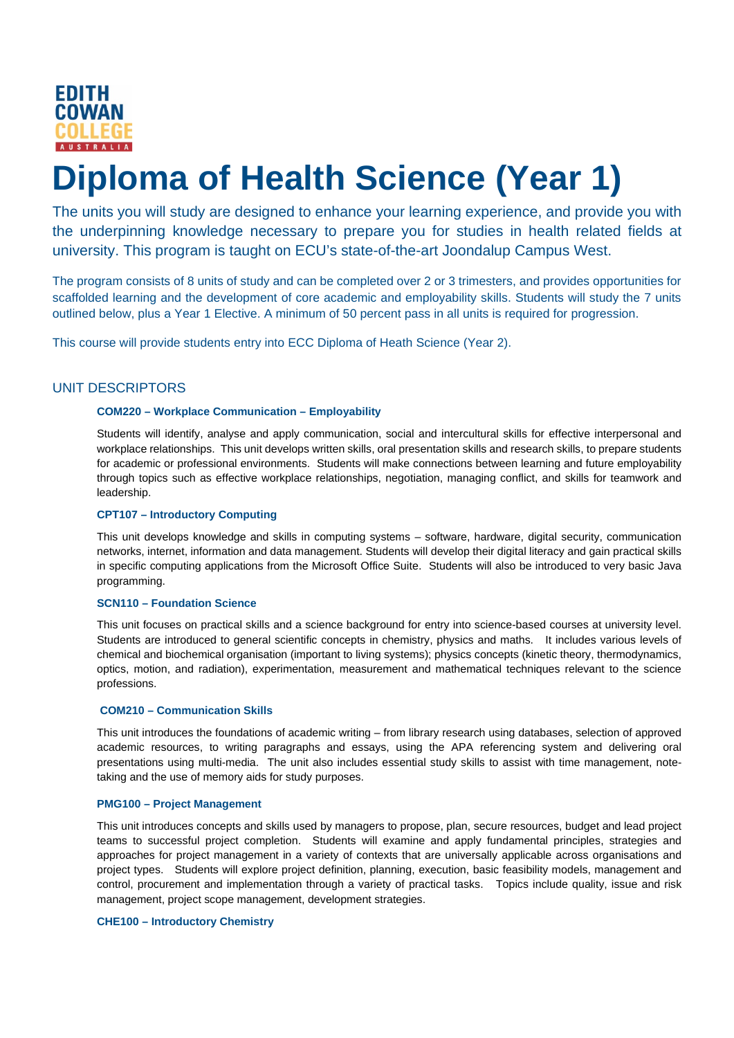

# **Diploma of Health Science (Year 1)**

The units you will study are designed to enhance your learning experience, and provide you with the underpinning knowledge necessary to prepare you for studies in health related fields at university. This program is taught on ECU's state-of-the-art Joondalup Campus West.

The program consists of 8 units of study and can be completed over 2 or 3 trimesters, and provides opportunities for scaffolded learning and the development of core academic and employability skills. Students will study the 7 units outlined below, plus a Year 1 Elective. A minimum of 50 percent pass in all units is required for progression.

This course will provide students entry into ECC Diploma of Heath Science (Year 2).

# UNIT DESCRIPTORS

## **COM220 – Workplace Communication – Employability**

Students will identify, analyse and apply communication, social and intercultural skills for effective interpersonal and workplace relationships. This unit develops written skills, oral presentation skills and research skills, to prepare students for academic or professional environments. Students will make connections between learning and future employability through topics such as effective workplace relationships, negotiation, managing conflict, and skills for teamwork and leadership.

## **CPT107 – Introductory Computing**

This unit develops knowledge and skills in computing systems – software, hardware, digital security, communication networks, internet, information and data management. Students will develop their digital literacy and gain practical skills in specific computing applications from the Microsoft Office Suite. Students will also be introduced to very basic Java programming.

## **SCN110 – Foundation Science**

This unit focuses on practical skills and a science background for entry into science-based courses at university level. Students are introduced to general scientific concepts in chemistry, physics and maths. It includes various levels of chemical and biochemical organisation (important to living systems); physics concepts (kinetic theory, thermodynamics, optics, motion, and radiation), experimentation, measurement and mathematical techniques relevant to the science professions.

## **COM210 – Communication Skills**

This unit introduces the foundations of academic writing – from library research using databases, selection of approved academic resources, to writing paragraphs and essays, using the APA referencing system and delivering oral presentations using multi-media. The unit also includes essential study skills to assist with time management, notetaking and the use of memory aids for study purposes.

### **PMG100 – Project Management**

This unit introduces concepts and skills used by managers to propose, plan, secure resources, budget and lead project teams to successful project completion. Students will examine and apply fundamental principles, strategies and approaches for project management in a variety of contexts that are universally applicable across organisations and project types. Students will explore project definition, planning, execution, basic feasibility models, management and control, procurement and implementation through a variety of practical tasks. Topics include quality, issue and risk management, project scope management, development strategies.

#### **CHE100 – Introductory Chemistry**